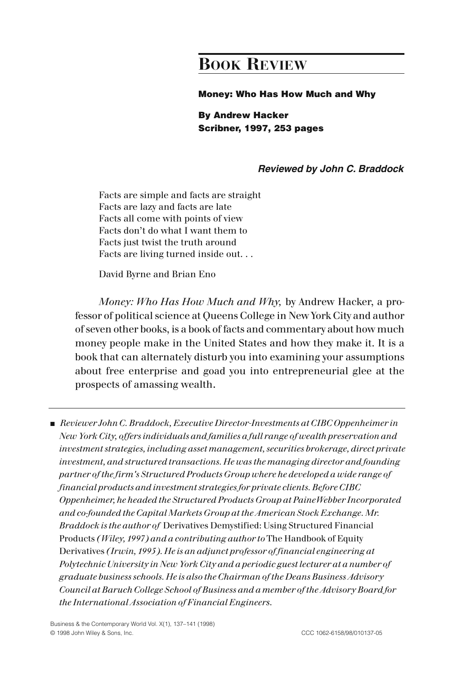## **BOOK REVIEW**

## **Money: Who Has How Much and Why**

**By Andrew Hacker Scribner, 1997, 253 pages**

## *Reviewed by John C. Braddock*

Facts are simple and facts are straight Facts are lazy and facts are late Facts all come with points of view Facts don't do what I want them to Facts just twist the truth around Facts are living turned inside out. . .

David Byrne and Brian Eno

*Money: Who Has How Much and Why,* by Andrew Hacker, a professor of political science at Queens College in New York City and author of seven other books, is a book of facts and commentary about how much money people make in the United States and how they make it. It is a book that can alternately disturb you into examining your assumptions about free enterprise and goad you into entrepreneurial glee at the prospects of amassing wealth.

■ *Reviewer John C. Braddock, Executive Director-Investments at CIBC Oppenheimer in New York City, offers individuals and families a full range of wealth preservation and investment strategies, including asset management, securities brokerage, direct private investment, and structured transactions. He was the managing director and founding partner of the firm's Structured Products Group where he developed a wide range of financial products and investment strategies for private clients. Before CIBC Oppenheimer, he headed the Structured Products Group at PaineWebber Incorporated and co-founded the Capital Markets Group at the American Stock Exchange. Mr. Braddock is the author of* Derivatives Demystified: Using Structured Financial Products *(Wiley, 1997) and a contributing author to*The Handbook of Equity Derivatives *(Irwin, 1995). He is an adjunct professor of financial engineering at Polytechnic University in New York City and a periodic guest lecturer at a number of graduate business schools. He is also the Chairman of the Deans Business Advisory Council at Baruch College School of Business and a member of the Advisory Board for the International Association of Financial Engineers.*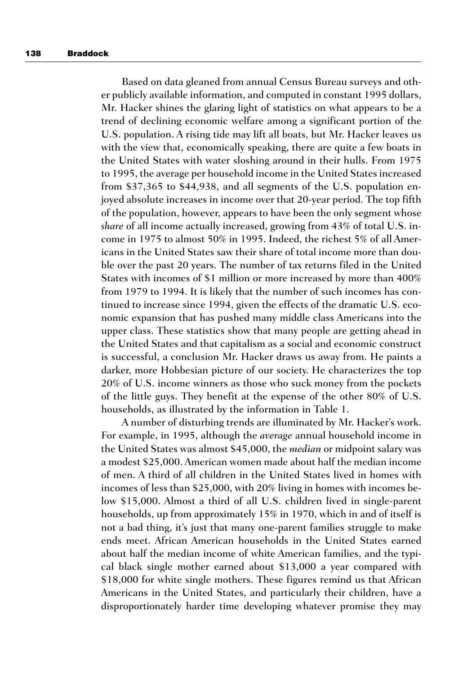Based on data gleaned from annual Census Bureau surveys and other publicly available information, and computed in constant 1995 dollars, Mr. Hacker shines the glaring light of statistics on what appears to be a trend of declining economic welfare among a significant portion of the U.S. population. A rising tide may lift all boats, but Mr. Hacker leaves us with the view that, economically speaking, there are quite a few boats in the United States with water sloshing around in their hulls. From 1975 to 1995, the average per household income in the United States increased from \$37,365 to \$44,938, and all segments of the U.S. population enjoyed absolute increases in income over that 20-year period. The top fifth of the population, however, appears to have been the only segment whose *share* of all income actually increased, growing from 43% of total U.S. income in 1975 to almost 50% in 1995. Indeed, the richest 5% of all Americans in the United States saw their share of total income more than double over the past 20 years. The number of tax returns filed in the United States with incomes of \$1 million or more increased by more than 400% from 1979 to 1994. It is likely that the number of such incomes has continued to increase since 1994, given the effects of the dramatic U.S. economic expansion that has pushed many middle class Americans into the upper class. These statistics show that many people are getting ahead in the United States and that capitalism as a social and economic construct is successful, a conclusion Mr. Hacker draws us away from. He paints a darker, more Hobbesian picture of our society. He characterizes the top 20% of U.S. income winners as those who suck money from the pockets of the little guys. They benefit at the expense of the other 80% of U.S. households, as illustrated by the information in Table 1.

A number of disturbing trends are illuminated by Mr. Hacker's work. For example, in 1995, although the *average* annual household income in the United States was almost \$45,000, the *median* or midpoint salary was a modest \$25,000. American women made about half the median income of men. A third of all children in the United States lived in homes with incomes of less than \$25,000, with 20% living in homes with incomes below \$15,000. Almost a third of all U.S. children lived in single-parent households, up from approximately 15% in 1970, which in and of itself is not a bad thing, it's just that many one-parent families struggle to make ends meet. African American households in the United States earned about half the median income of white American families, and the typical black single mother earned about \$13,000 a year compared with \$18,000 for white single mothers. These figures remind us that African Americans in the United States, and particularly their children, have a disproportionately harder time developing whatever promise they may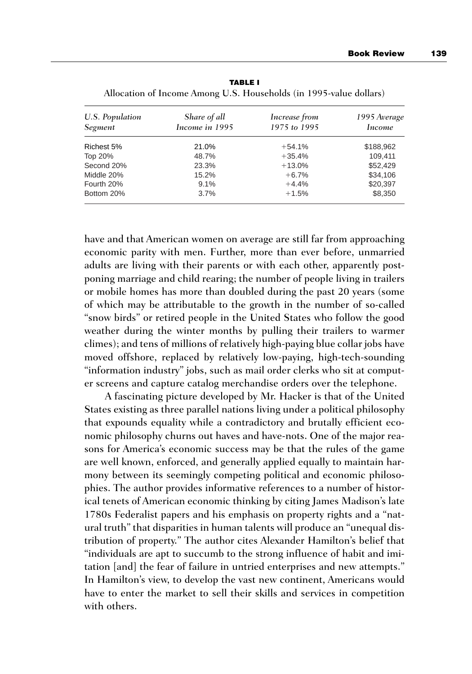| U.S. Population<br>Segment | Share of all<br>Income in 1995 | Increase from<br>1975 to 1995 | 1995 Average<br><i>Income</i> |
|----------------------------|--------------------------------|-------------------------------|-------------------------------|
|                            |                                |                               |                               |
| Top 20%                    | 48.7%                          | $+35.4%$                      | 109,411                       |
| Second 20%                 | 23.3%                          | $+13.0%$                      | \$52,429                      |
| Middle 20%                 | 15.2%                          | $+6.7%$                       | \$34,106                      |
| Fourth 20%                 | 9.1%                           | $+4.4%$                       | \$20,397                      |
| Bottom 20%                 | 3.7%                           | $+1.5%$                       | \$8,350                       |

TABLE I Allocation of Income Among U.S. Households (in 1995-value dollars)

have and that American women on average are still far from approaching economic parity with men. Further, more than ever before, unmarried adults are living with their parents or with each other, apparently postponing marriage and child rearing; the number of people living in trailers or mobile homes has more than doubled during the past 20 years (some of which may be attributable to the growth in the number of so-called "snow birds" or retired people in the United States who follow the good weather during the winter months by pulling their trailers to warmer climes); and tens of millions of relatively high-paying blue collar jobs have moved offshore, replaced by relatively low-paying, high-tech-sounding "information industry" jobs, such as mail order clerks who sit at computer screens and capture catalog merchandise orders over the telephone.

A fascinating picture developed by Mr. Hacker is that of the United States existing as three parallel nations living under a political philosophy that expounds equality while a contradictory and brutally efficient economic philosophy churns out haves and have-nots. One of the major reasons for America's economic success may be that the rules of the game are well known, enforced, and generally applied equally to maintain harmony between its seemingly competing political and economic philosophies. The author provides informative references to a number of historical tenets of American economic thinking by citing James Madison's late 1780s Federalist papers and his emphasis on property rights and a "natural truth" that disparities in human talents will produce an "unequal distribution of property." The author cites Alexander Hamilton's belief that "individuals are apt to succumb to the strong influence of habit and imitation [and] the fear of failure in untried enterprises and new attempts." In Hamilton's view, to develop the vast new continent, Americans would have to enter the market to sell their skills and services in competition with others.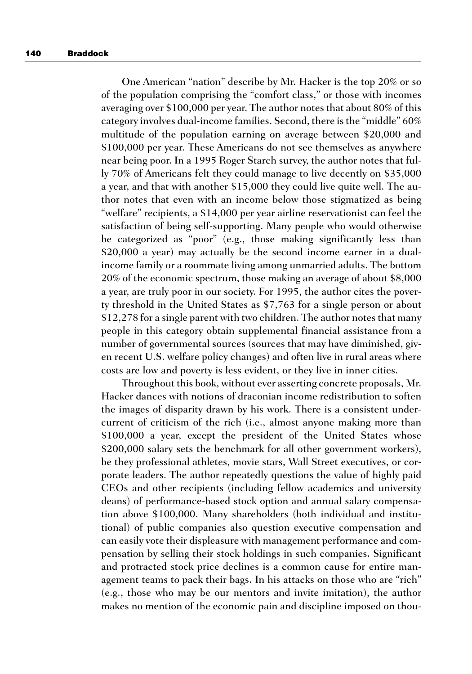One American "nation" describe by Mr. Hacker is the top 20% or so of the population comprising the "comfort class," or those with incomes averaging over \$100,000 per year. The author notes that about 80% of this category involves dual-income families. Second, there is the "middle" 60% multitude of the population earning on average between \$20,000 and \$100,000 per year. These Americans do not see themselves as anywhere near being poor. In a 1995 Roger Starch survey, the author notes that fully 70% of Americans felt they could manage to live decently on \$35,000 a year, and that with another \$15,000 they could live quite well. The author notes that even with an income below those stigmatized as being "welfare" recipients, a \$14,000 per year airline reservationist can feel the satisfaction of being self-supporting. Many people who would otherwise be categorized as "poor" (e.g., those making significantly less than \$20,000 a year) may actually be the second income earner in a dualincome family or a roommate living among unmarried adults. The bottom 20% of the economic spectrum, those making an average of about \$8,000 a year, are truly poor in our society. For 1995, the author cites the poverty threshold in the United States as \$7,763 for a single person or about \$12,278 for a single parent with two children. The author notes that many people in this category obtain supplemental financial assistance from a number of governmental sources (sources that may have diminished, given recent U.S. welfare policy changes) and often live in rural areas where costs are low and poverty is less evident, or they live in inner cities.

Throughout this book, without ever asserting concrete proposals, Mr. Hacker dances with notions of draconian income redistribution to soften the images of disparity drawn by his work. There is a consistent undercurrent of criticism of the rich (i.e., almost anyone making more than \$100,000 a year, except the president of the United States whose \$200,000 salary sets the benchmark for all other government workers), be they professional athletes, movie stars, Wall Street executives, or corporate leaders. The author repeatedly questions the value of highly paid CEOs and other recipients (including fellow academics and university deans) of performance-based stock option and annual salary compensation above \$100,000. Many shareholders (both individual and institutional) of public companies also question executive compensation and can easily vote their displeasure with management performance and compensation by selling their stock holdings in such companies. Significant and protracted stock price declines is a common cause for entire management teams to pack their bags. In his attacks on those who are "rich" (e.g., those who may be our mentors and invite imitation), the author makes no mention of the economic pain and discipline imposed on thou-